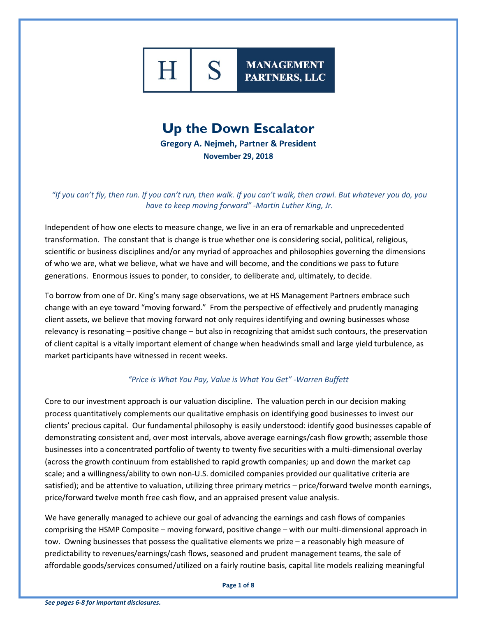

# **Up the Down Escalator Gregory A. Nejmeh, Partner & President**

**November 29, 2018**

*"If you can't fly, then run. If you can't run, then walk. If you can't walk, then crawl. But whatever you do, you have to keep moving forward" -Martin Luther King, Jr.*

Independent of how one elects to measure change, we live in an era of remarkable and unprecedented transformation. The constant that is change is true whether one is considering social, political, religious, scientific or business disciplines and/or any myriad of approaches and philosophies governing the dimensions of who we are, what we believe, what we have and will become, and the conditions we pass to future generations. Enormous issues to ponder, to consider, to deliberate and, ultimately, to decide.

To borrow from one of Dr. King's many sage observations, we at HS Management Partners embrace such change with an eye toward "moving forward." From the perspective of effectively and prudently managing client assets, we believe that moving forward not only requires identifying and owning businesses whose relevancy is resonating – positive change – but also in recognizing that amidst such contours, the preservation of client capital is a vitally important element of change when headwinds small and large yield turbulence, as market participants have witnessed in recent weeks.

## *"Price is What You Pay, Value is What You Get" -Warren Buffett*

Core to our investment approach is our valuation discipline. The valuation perch in our decision making process quantitatively complements our qualitative emphasis on identifying good businesses to invest our clients' precious capital. Our fundamental philosophy is easily understood: identify good businesses capable of demonstrating consistent and, over most intervals, above average earnings/cash flow growth; assemble those businesses into a concentrated portfolio of twenty to twenty five securities with a multi-dimensional overlay (across the growth continuum from established to rapid growth companies; up and down the market cap scale; and a willingness/ability to own non-U.S. domiciled companies provided our qualitative criteria are satisfied); and be attentive to valuation, utilizing three primary metrics – price/forward twelve month earnings, price/forward twelve month free cash flow, and an appraised present value analysis.

We have generally managed to achieve our goal of advancing the earnings and cash flows of companies comprising the HSMP Composite – moving forward, positive change – with our multi-dimensional approach in tow. Owning businesses that possess the qualitative elements we prize – a reasonably high measure of predictability to revenues/earnings/cash flows, seasoned and prudent management teams, the sale of affordable goods/services consumed/utilized on a fairly routine basis, capital lite models realizing meaningful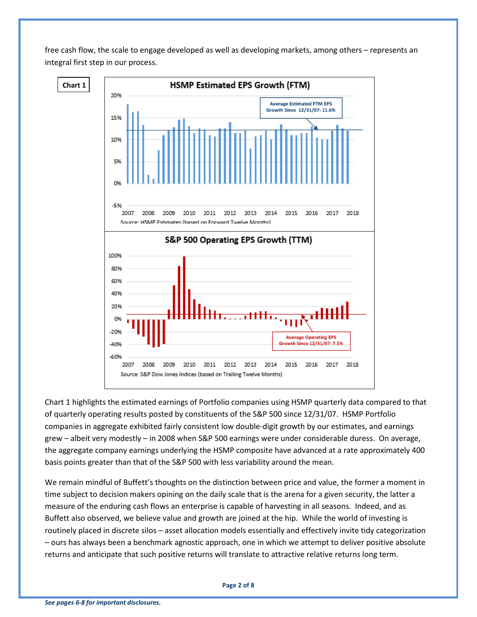free cash flow, the scale to engage developed as well as developing markets, among others – represents an integral first step in our process.



Chart 1 highlights the estimated earnings of Portfolio companies using HSMP quarterly data compared to that of quarterly operating results posted by constituents of the S&P 500 since 12/31/07. HSMP Portfolio companies in aggregate exhibited fairly consistent low double-digit growth by our estimates, and earnings grew – albeit very modestly – in 2008 when S&P 500 earnings were under considerable duress. On average, the aggregate company earnings underlying the HSMP composite have advanced at a rate approximately 400 basis points greater than that of the S&P 500 with less variability around the mean.

We remain mindful of Buffett's thoughts on the distinction between price and value, the former a moment in time subject to decision makers opining on the daily scale that is the arena for a given security, the latter a measure of the enduring cash flows an enterprise is capable of harvesting in all seasons. Indeed, and as Buffett also observed, we believe value and growth are joined at the hip. While the world of investing is routinely placed in discrete silos – asset allocation models essentially and effectively invite tidy categorization – ours has always been a benchmark agnostic approach, one in which we attempt to deliver positive absolute returns and anticipate that such positive returns will translate to attractive relative returns long term.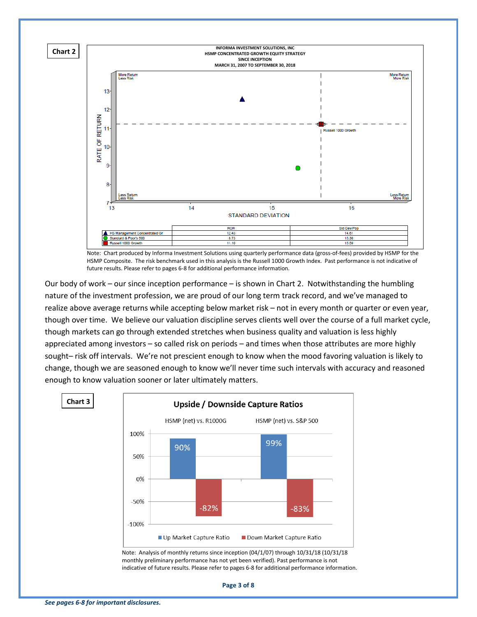

Note: Chart produced by Informa Investment Solutions using quarterly performance data (gross-of-fees) provided by HSMP for the HSMP Composite. The risk benchmark used in this analysis is the Russell 1000 Growth Index. Past performance is not indicative of future results. Please refer to pages 6-8 for additional performance information.

Our body of work – our since inception performance – is shown in Chart 2. Notwithstanding the humbling nature of the investment profession, we are proud of our long term track record, and we've managed to realize above average returns while accepting below market risk – not in every month or quarter or even year, though over time. We believe our valuation discipline serves clients well over the course of a full market cycle, though markets can go through extended stretches when business quality and valuation is less highly appreciated among investors – so called risk on periods – and times when those attributes are more highly sought– risk off intervals. We're not prescient enough to know when the mood favoring valuation is likely to change, though we are seasoned enough to know we'll never time such intervals with accuracy and reasoned enough to know valuation sooner or later ultimately matters.



**Page 3 of 8**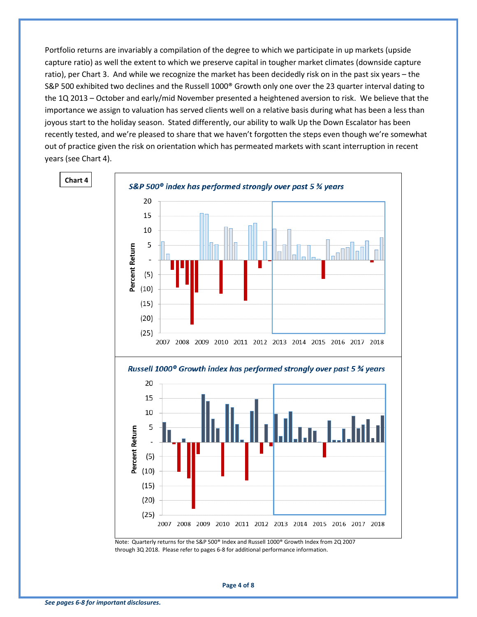Portfolio returns are invariably a compilation of the degree to which we participate in up markets (upside capture ratio) as well the extent to which we preserve capital in tougher market climates (downside capture ratio), per Chart 3. And while we recognize the market has been decidedly risk on in the past six years – the S&P 500 exhibited two declines and the Russell 1000® Growth only one over the 23 quarter interval dating to the 1Q 2013 – October and early/mid November presented a heightened aversion to risk. We believe that the importance we assign to valuation has served clients well on a relative basis during what has been a less than joyous start to the holiday season. Stated differently, our ability to walk Up the Down Escalator has been recently tested, and we're pleased to share that we haven't forgotten the steps even though we're somewhat out of practice given the risk on orientation which has permeated markets with scant interruption in recent years (see Chart 4).



through 3Q 2018. Please refer to pages 6-8 for additional performance information.

**Page 4 of 8**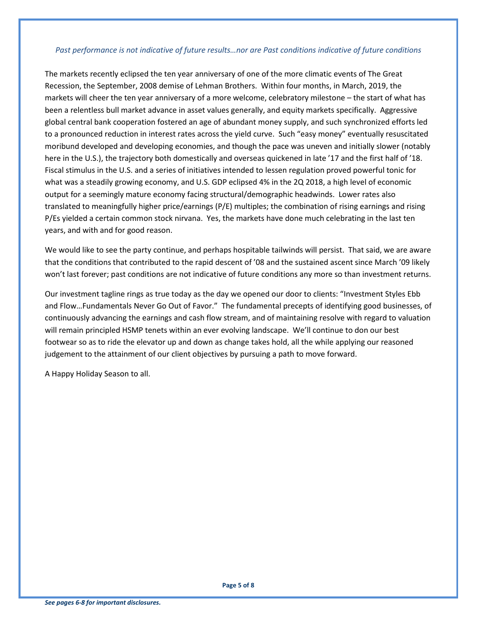## *Past performance is not indicative of future results…nor are Past conditions indicative of future conditions*

The markets recently eclipsed the ten year anniversary of one of the more climatic events of The Great Recession, the September, 2008 demise of Lehman Brothers. Within four months, in March, 2019, the markets will cheer the ten year anniversary of a more welcome, celebratory milestone – the start of what has been a relentless bull market advance in asset values generally, and equity markets specifically. Aggressive global central bank cooperation fostered an age of abundant money supply, and such synchronized efforts led to a pronounced reduction in interest rates across the yield curve. Such "easy money" eventually resuscitated moribund developed and developing economies, and though the pace was uneven and initially slower (notably here in the U.S.), the trajectory both domestically and overseas quickened in late '17 and the first half of '18. Fiscal stimulus in the U.S. and a series of initiatives intended to lessen regulation proved powerful tonic for what was a steadily growing economy, and U.S. GDP eclipsed 4% in the 2Q 2018, a high level of economic output for a seemingly mature economy facing structural/demographic headwinds. Lower rates also translated to meaningfully higher price/earnings (P/E) multiples; the combination of rising earnings and rising P/Es yielded a certain common stock nirvana. Yes, the markets have done much celebrating in the last ten years, and with and for good reason.

We would like to see the party continue, and perhaps hospitable tailwinds will persist. That said, we are aware that the conditions that contributed to the rapid descent of '08 and the sustained ascent since March '09 likely won't last forever; past conditions are not indicative of future conditions any more so than investment returns.

Our investment tagline rings as true today as the day we opened our door to clients: "Investment Styles Ebb and Flow…Fundamentals Never Go Out of Favor." The fundamental precepts of identifying good businesses, of continuously advancing the earnings and cash flow stream, and of maintaining resolve with regard to valuation will remain principled HSMP tenets within an ever evolving landscape. We'll continue to don our best footwear so as to ride the elevator up and down as change takes hold, all the while applying our reasoned judgement to the attainment of our client objectives by pursuing a path to move forward.

A Happy Holiday Season to all.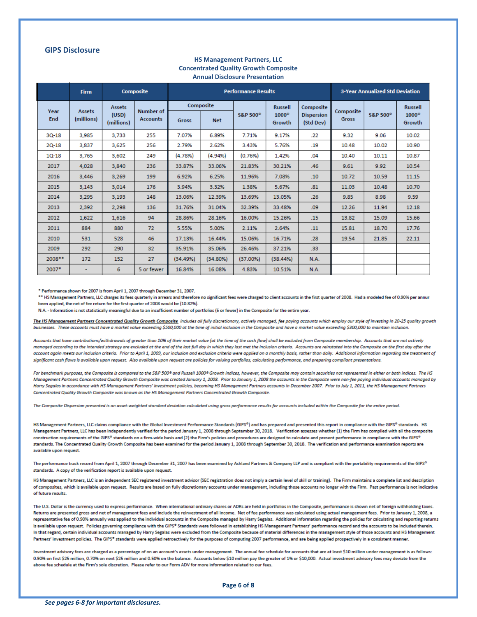#### **GIPS Disclosure**

|             | <b>Firm</b>                 | <b>Composite</b>                     |                                     | <b>Performance Results</b> |             |                      |                        |                                | <b>3-Year Annualized Std Deviation</b> |                      |                             |
|-------------|-----------------------------|--------------------------------------|-------------------------------------|----------------------------|-------------|----------------------|------------------------|--------------------------------|----------------------------------------|----------------------|-----------------------------|
| Year<br>End | <b>Assets</b><br>(millions) | <b>Assets</b><br>(USD)<br>(millions) | <b>Number of</b><br><b>Accounts</b> | Composite                  |             |                      | <b>Russell</b>         | Composite                      |                                        |                      | <b>Russell</b>              |
|             |                             |                                      |                                     | <b>Gross</b>               | <b>Net</b>  | S&P 500 <sup>®</sup> | $1000^\circ$<br>Growth | <b>Dispersion</b><br>(Std Dev) | Composite<br><b>Gross</b>              | S&P 500 <sup>®</sup> | 1000 <sup>®</sup><br>Growth |
| $30 - 18$   | 3,985                       | 3,733                                | 255                                 | 7.07%                      | 6.89%       | 7.71%                | 9.17%                  | .22                            | 9.32                                   | 9.06                 | 10.02                       |
| $20 - 18$   | 3.837                       | 3,625                                | 256                                 | 2.79%                      | 2.62%       | 3.43%                | 5.76%                  | .19                            | 10.48                                  | 10.02                | 10.90                       |
| $10 - 18$   | 3.765                       | 3,602                                | 249                                 | (4.78%)                    | $(4.94\%)$  | (0.76%)              | 1.42%                  | .04                            | 10.40                                  | 10.11                | 10.87                       |
| 2017        | 4,028                       | 3,840                                | 236                                 | 33.87%                     | 33.06%      | 21.83%               | 30.21%                 | .46                            | 9.61                                   | 9.92                 | 10.54                       |
| 2016        | 3,446                       | 3,269                                | 199                                 | 6.92%                      | 6.25%       | 11.96%               | 7.08%                  | .10                            | 10.72                                  | 10.59                | 11.15                       |
| 2015        | 3.143                       | 3.014                                | 176                                 | 3.94%                      | 3.32%       | 1.38%                | 5.67%                  | .81                            | 11.03                                  | 10.48                | 10.70                       |
| 2014        | 3,295                       | 3,193                                | 148                                 | 13.06%                     | 12.39%      | 13.69%               | 13.05%                 | .26                            | 9.85                                   | 8.98                 | 9.59                        |
| 2013        | 2.392                       | 2.298                                | 136                                 | 31.76%                     | 31.04%      | 32.39%               | 33.48%                 | .09                            | 12.26                                  | 11.94                | 12.18                       |
| 2012        | 1,622                       | 1,616                                | 94                                  | 28.86%                     | 28.16%      | 16.00%               | 15.26%                 | .15                            | 13.82                                  | 15.09                | 15.66                       |
| 2011        | 884                         | 880                                  | 72                                  | 5.55%                      | 5.00%       | 2.11%                | 2.64%                  | .11                            | 15.81                                  | 18.70                | 17.76                       |
| 2010        | 531                         | 528                                  | 46                                  | 17.13%                     | 16.44%      | 15.06%               | 16.71%                 | .28                            | 19.54                                  | 21.85                | 22.11                       |
| 2009        | 292                         | 290                                  | 32                                  | 35.91%                     | 35.06%      | 26.46%               | 37.21%                 | .33                            |                                        |                      |                             |
| 2008 **     | 172                         | 152                                  | 27                                  | (34.49%)                   | $(34.80\%)$ | $(37.00\%)$          | $(38.44\%)$            | N.A.                           |                                        |                      |                             |
| 2007*       | ۰                           | 6                                    | 5 or fewer                          | 16.84%                     | 16.08%      | 4.83%                | 10.51%                 | N.A.                           |                                        |                      |                             |

### **HS Management Partners, LLC Concentrated Quality Growth Composite Annual Disclosure Presentation**

\* Performance shown for 2007 is from April 1, 2007 through December 31, 2007.

\*\* HS Management Partners, LLC charges its fees quarterly in arrears and therefore no significant fees were charged to client accounts in the first quarter of 2008. Had a modeled fee of 0.90% per annur been applied, the net of fee return for the first quarter of 2008 would be (10.82%).

N.A. - Information is not statistically meaningful due to an insufficient number of portfolios (5 or fewer) in the Composite for the entire year.

The HS Management Partners Concentrated Quality Growth Composite includes all fully discretionary, actively managed, fee paying accounts which employ our style of investing in 20-25 quality growth businesses. These accounts must have a market value exceeding \$500,000 at the time of initial inclusion in the Composite and have a market value exceeding \$300,000 to maintain inclusion.

Accounts that have contributions/withdrawals of areater than 10% of their market value (at the time of the cash flow) shall be excluded from Composite membership. Accounts that are not actively managed according to the intended strategy are excluded at the end of the last full day in which they last met the inclusion criteria. Accounts are reinstated into the Composite on the first day after the account again meets our inclusion criteria. Prior to April 1, 2009, our inclusion and exclusion criteria were applied on a monthly basis, rather than daily. Additional information regarding the treatment of significant cash flows is available upon request. Also available upon request are policies for valuing portfolios, calculating performance, and preparing compliant presentations.

For benchmark purposes, the Composite is compared to the S&P 500<sup>o</sup> and Russell 1000<sup>o</sup> Growth indices, however, the Composite may contain securities not represented in either or both indices. The HS Management Partners Concentrated Quality Growth Composite was created January 1, 2008. Prior to January 1, 2008 the accounts in the Composite were non-fee paying individual accounts managed by Harry Segalas in accordance with H5 Management Partners' investment policies, becoming H5 Management Partners accounts in December 2007. Prior to July 1, 2011, the H5 Management Partners Concentrated Quality Growth Composite was known as the HS Management Partners Concentrated Growth Composite.

The Composite Dispersion presented is an asset-weighted standard deviation calculated using aross performance results for accounts included within the Composite for the entire period.

HS Management Partners, LLC claims compliance with the Global Investment Performance Standards (GIPS®) and has prepared and presented this report in compliance with the GIPS® standards. HS Management Partners, LLC has been independently verified for the period January 1, 2008 through September 30, 2018. Verification assesses whether (1) the Firm has complied with all the composite construction requirements of the GIPS® standards on a firm-wide basis and (2) the Firm's policies and procedures are designed to calculate and present performance in compliance with the GIPS® standards. The Concentrated Quality Growth Composite has been examined for the period January 1, 2008 through September 30, 2018. The verification and performance examination reports are available upon request.

The performance track record from April 1, 2007 through December 31, 2007 has been examined by Ashland Partners & Company LLP and is compliant with the portability requirements of the GIPS® standards. A copy of the verification report is available upon request.

HS Management Partners, LLC is an independent SEC registered investment advisor (SEC registration does not imply a certain level of skill or training). The Firm maintains a complete list and description of composites, which is available upon request. Results are based on fully discretionary accounts under management, including those accounts no longer with the Firm. Past performance is not indicative of future results

The U.S. Dollar is the currency used to express performance. When international ordinary shares or ADRs are held in portfolios in the Composite, performance is shown net of foreign withholding taxes. Returns are presented gross and net of management fees and include the reinvestment of all income. Net of fee performance was calculated using actual management fees. Prior to January 1, 2008, a representative fee of 0.90% annually was applied to the individual accounts in the Composite managed by Harry Segalas. Additional information regarding the policies for calculating and reporting returns is available upon request. Policies governing compliance with the GIPS® Standards were followed in establishing HS Management Partners' performance record and the accounts to be included therein. In that regard, certain individual accounts managed by Harry Segalas were excluded from the Composite because of material differences in the management style of those accounts and HS Management Partners' investment policies. The GIPS® standards were applied retroactively for the purposes of computing 2007 performance, and are being applied prospectively in a consistent manner.

Investment advisory fees are charged as a percentage of on an account's assets under management. The annual fee schedule for accounts that are at least \$10 million under management is as follows: 0.90% on first \$25 million, 0.70% on next \$25 million and 0.50% on the balance. Accounts below \$10 million pay the greater of 1% or \$10,000. Actual investment advisory fees may deviate from the above fee schedule at the Firm's sole discretion. Please refer to our Form ADV for more information related to our fees.

**Page 6 of 8**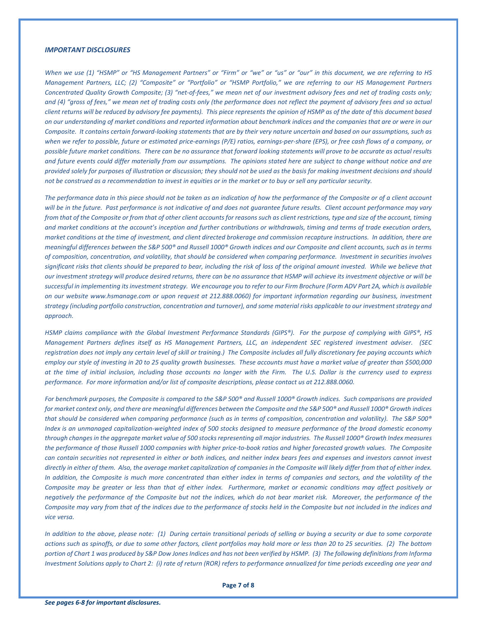#### *IMPORTANT DISCLOSURES*

*When we use (1) "HSMP" or "HS Management Partners" or "Firm" or "we" or "us" or "our" in this document, we are referring to HS Management Partners, LLC; (2) "Composite" or "Portfolio" or "HSMP Portfolio," we are referring to our HS Management Partners Concentrated Quality Growth Composite; (3) "net-of-fees," we mean net of our investment advisory fees and net of trading costs only; and (4) "gross of fees," we mean net of trading costs only (the performance does not reflect the payment of advisory fees and so actual client returns will be reduced by advisory fee payments). This piece represents the opinion of HSMP as of the date of this document based on our understanding of market conditions and reported information about benchmark indices and the companies that are or were in our Composite. It contains certain forward-looking statements that are by their very nature uncertain and based on our assumptions, such as when we refer to possible, future or estimated price-earnings (P/E) ratios, earnings-per-share (EPS), or free cash flows of a company, or possible future market conditions. There can be no assurance that forward looking statements will prove to be accurate as actual results and future events could differ materially from our assumptions. The opinions stated here are subject to change without notice and are provided solely for purposes of illustration or discussion; they should not be used as the basis for making investment decisions and should not be construed as a recommendation to invest in equities or in the market or to buy or sell any particular security.* 

*The performance data in this piece should not be taken as an indication of how the performance of the Composite or of a client account will be in the future. Past performance is not indicative of and does not guarantee future results. Client account performance may vary from that of the Composite or from that of other client accounts for reasons such as client restrictions, type and size of the account, timing and market conditions at the account's inception and further contributions or withdrawals, timing and terms of trade execution orders, market conditions at the time of investment, and client directed brokerage and commission recapture instructions. In addition, there are meaningful differences between the S&P 500® and Russell 1000® Growth indices and our Composite and client accounts, such as in terms of composition, concentration, and volatility, that should be considered when comparing performance. Investment in securities involves significant risks that clients should be prepared to bear, including the risk of loss of the original amount invested. While we believe that our investment strategy will produce desired returns, there can be no assurance that HSMP will achieve its investment objective or will be successful in implementing its investment strategy. We encourage you to refer to our Firm Brochure (Form ADV Part 2A, which is available on our website www.hsmanage.com or upon request at 212.888.0060) for important information regarding our business, investment strategy (including portfolio construction, concentration and turnover), and some material risks applicable to our investment strategy and approach.* 

*HSMP claims compliance with the Global Investment Performance Standards (GIPS®). For the purpose of complying with GIPS®, HS Management Partners defines itself as HS Management Partners, LLC, an independent SEC registered investment adviser. (SEC registration does not imply any certain level of skill or training.) The Composite includes all fully discretionary fee paying accounts which employ our style of investing in 20 to 25 quality growth businesses. These accounts must have a market value of greater than \$500,000 at the time of initial inclusion, including those accounts no longer with the Firm. The U.S. Dollar is the currency used to express performance. For more information and/or list of composite descriptions, please contact us at 212.888.0060.* 

*For benchmark purposes, the Composite is compared to the S&P 500® and Russell 1000® Growth indices. Such comparisons are provided for market context only, and there are meaningful differences between the Composite and the S&P 500® and Russell 1000® Growth indices that should be considered when comparing performance (such as in terms of composition, concentration and volatility). The S&P 500® Index is an unmanaged capitalization-weighted index of 500 stocks designed to measure performance of the broad domestic economy through changes in the aggregate market value of 500 stocks representing all major industries. The Russell 1000® Growth Index measures the performance of those Russell 1000 companies with higher price-to-book ratios and higher forecasted growth values. The Composite can contain securities not represented in either or both indices, and neither index bears fees and expenses and investors cannot invest directly in either of them. Also, the average market capitalization of companies in the Composite will likely differ from that of either index. In addition, the Composite is much more concentrated than either index in terms of companies and sectors, and the volatility of the Composite may be greater or less than that of either index. Furthermore, market or economic conditions may affect positively or negatively the performance of the Composite but not the indices, which do not bear market risk. Moreover, the performance of the Composite may vary from that of the indices due to the performance of stocks held in the Composite but not included in the indices and vice versa.* 

*In addition to the above, please note: (1) During certain transitional periods of selling or buying a security or due to some corporate actions such as spinoffs, or due to some other factors, client portfolios may hold more or less than 20 to 25 securities. (2) The bottom portion of Chart 1 was produced by S&P Dow Jones Indices and has not been verified by HSMP. (3) The following definitions from Informa Investment Solutions apply to Chart 2: (i) rate of return (ROR) refers to performance annualized for time periods exceeding one year and*